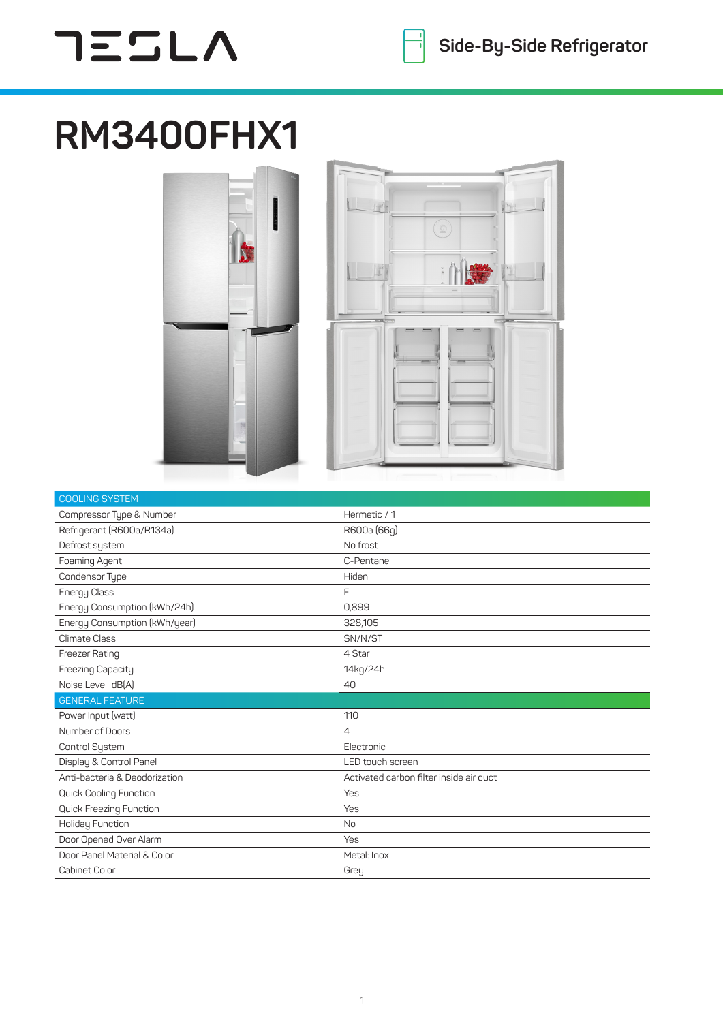## $755L$

## **RM3400FHX1**





| <b>COOLING SYSTEM</b>          |                                         |
|--------------------------------|-----------------------------------------|
| Compressor Type & Number       | Hermetic / 1                            |
| Refrigerant (R600a/R134a)      | R600a (66g)                             |
| Defrost system                 | No frost                                |
| Foaming Agent                  | C-Pentane                               |
| Condensor Type                 | Hiden                                   |
| Energy Class                   | F                                       |
| Energy Consumption (kWh/24h)   | 0,899                                   |
| Energy Consumption (kWh/year)  | 328,105                                 |
| <b>Climate Class</b>           | SN/N/ST                                 |
| Freezer Rating                 | 4 Star                                  |
| Freezing Capacity              | 14kg/24h                                |
| Noise Level dB(A)              | 40                                      |
| <b>GENERAL FEATURE</b>         |                                         |
| Power Input (watt)             | 110                                     |
| Number of Doors                | $\overline{4}$                          |
| Control System                 | Electronic                              |
| Display & Control Panel        | LED touch screen                        |
| Anti-bacteria & Deodorization  | Activated carbon filter inside air duct |
| <b>Quick Cooling Function</b>  | Yes                                     |
| <b>Quick Freezing Function</b> | Yes                                     |
| Holiday Function               | <b>No</b>                               |
| Door Opened Over Alarm         | Yes                                     |
| Door Panel Material & Color    | Metal: Inox                             |
| <b>Cabinet Color</b>           | Grey                                    |